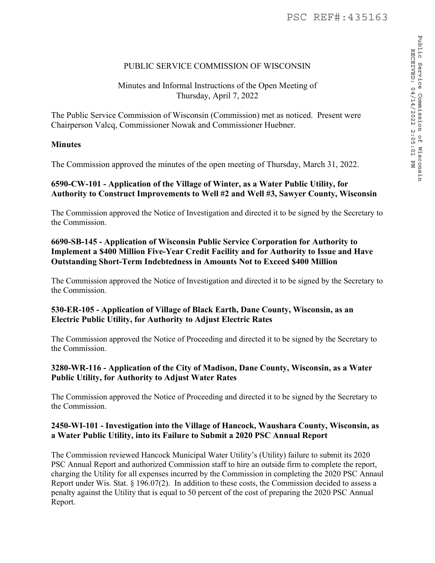# PUBLIC SERVICE COMMISSION OF WISCONSIN

## Minutes and Informal Instructions of the Open Meeting of Thursday, April 7, 2022

The Public Service Commission of Wisconsin (Commission) met as noticed. Present were Chairperson Valcq, Commissioner Nowak and Commissioner Huebner.

#### **Minutes**

The Commission approved the minutes of the open meeting of Thursday, March 31, 2022.

## **6590-CW-101 - Application of the Village of Winter, as a Water Public Utility, for Authority to Construct Improvements to Well #2 and Well #3, Sawyer County, Wisconsin**

The Commission approved the Notice of Investigation and directed it to be signed by the Secretary to the Commission.

# **6690-SB-145 - Application of Wisconsin Public Service Corporation for Authority to Implement a \$400 Million Five-Year Credit Facility and for Authority to Issue and Have Outstanding Short-Term Indebtedness in Amounts Not to Exceed \$400 Million**

The Commission approved the Notice of Investigation and directed it to be signed by the Secretary to the Commission.

## **530-ER-105 - Application of Village of Black Earth, Dane County, Wisconsin, as an Electric Public Utility, for Authority to Adjust Electric Rates**

The Commission approved the Notice of Proceeding and directed it to be signed by the Secretary to the Commission.

#### **3280-WR-116 - Application of the City of Madison, Dane County, Wisconsin, as a Water Public Utility, for Authority to Adjust Water Rates**

The Commission approved the Notice of Proceeding and directed it to be signed by the Secretary to the Commission.

#### **2450-WI-101 - Investigation into the Village of Hancock, Waushara County, Wisconsin, as a Water Public Utility, into its Failure to Submit a 2020 PSC Annual Report**

The Commission reviewed Hancock Municipal Water Utility's (Utility) failure to submit its 2020 PSC Annual Report and authorized Commission staff to hire an outside firm to complete the report, charging the Utility for all expenses incurred by the Commission in completing the 2020 PSC Annaul Report under Wis. Stat. § 196.07(2). In addition to these costs, the Commission decided to assess a penalty against the Utility that is equal to 50 percent of the cost of preparing the 2020 PSC Annual Report.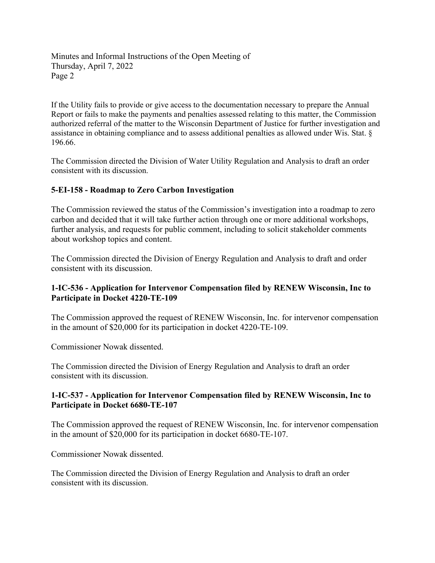If the Utility fails to provide or give access to the documentation necessary to prepare the Annual Report or fails to make the payments and penalties assessed relating to this matter, the Commission authorized referral of the matter to the Wisconsin Department of Justice for further investigation and assistance in obtaining compliance and to assess additional penalties as allowed under Wis. Stat. § 196.66.

The Commission directed the Division of Water Utility Regulation and Analysis to draft an order consistent with its discussion.

# **5-EI-158 - Roadmap to Zero Carbon Investigation**

The Commission reviewed the status of the Commission's investigation into a roadmap to zero carbon and decided that it will take further action through one or more additional workshops, further analysis, and requests for public comment, including to solicit stakeholder comments about workshop topics and content.

The Commission directed the Division of Energy Regulation and Analysis to draft and order consistent with its discussion.

#### **1-IC-536 - Application for Intervenor Compensation filed by RENEW Wisconsin, Inc to Participate in Docket 4220-TE-109**

The Commission approved the request of RENEW Wisconsin, Inc. for intervenor compensation in the amount of \$20,000 for its participation in docket 4220-TE-109.

Commissioner Nowak dissented.

The Commission directed the Division of Energy Regulation and Analysis to draft an order consistent with its discussion.

## **1-IC-537 - Application for Intervenor Compensation filed by RENEW Wisconsin, Inc to Participate in Docket 6680-TE-107**

The Commission approved the request of RENEW Wisconsin, Inc. for intervenor compensation in the amount of \$20,000 for its participation in docket 6680-TE-107.

Commissioner Nowak dissented.

The Commission directed the Division of Energy Regulation and Analysis to draft an order consistent with its discussion.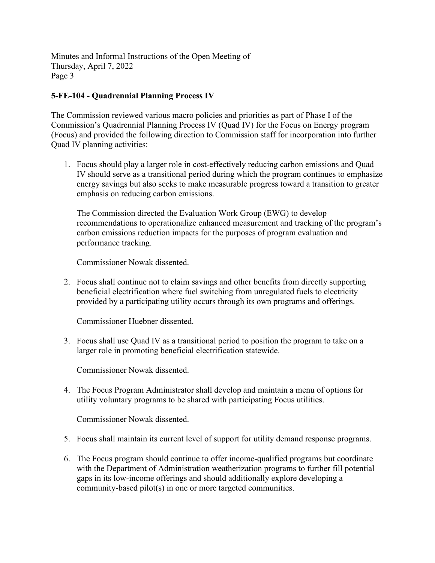# **5-FE-104 - Quadrennial Planning Process IV**

The Commission reviewed various macro policies and priorities as part of Phase I of the Commission's Quadrennial Planning Process IV (Quad IV) for the Focus on Energy program (Focus) and provided the following direction to Commission staff for incorporation into further Quad IV planning activities:

1. Focus should play a larger role in cost-effectively reducing carbon emissions and Quad IV should serve as a transitional period during which the program continues to emphasize energy savings but also seeks to make measurable progress toward a transition to greater emphasis on reducing carbon emissions.

The Commission directed the Evaluation Work Group (EWG) to develop recommendations to operationalize enhanced measurement and tracking of the program's carbon emissions reduction impacts for the purposes of program evaluation and performance tracking.

Commissioner Nowak dissented.

2. Focus shall continue not to claim savings and other benefits from directly supporting beneficial electrification where fuel switching from unregulated fuels to electricity provided by a participating utility occurs through its own programs and offerings.

Commissioner Huebner dissented.

3. Focus shall use Quad IV as a transitional period to position the program to take on a larger role in promoting beneficial electrification statewide.

Commissioner Nowak dissented.

4. The Focus Program Administrator shall develop and maintain a menu of options for utility voluntary programs to be shared with participating Focus utilities.

Commissioner Nowak dissented.

- 5. Focus shall maintain its current level of support for utility demand response programs.
- 6. The Focus program should continue to offer income-qualified programs but coordinate with the Department of Administration weatherization programs to further fill potential gaps in its low-income offerings and should additionally explore developing a community-based pilot(s) in one or more targeted communities.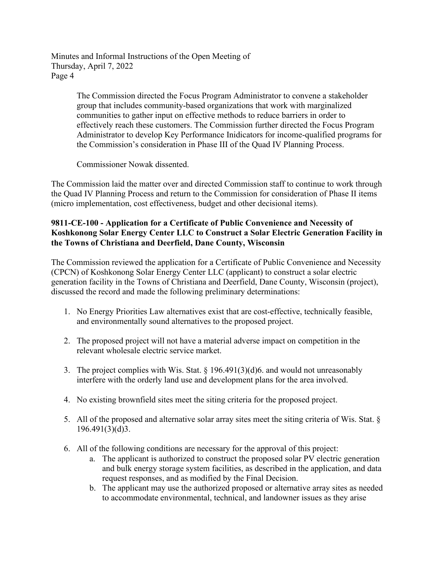> The Commission directed the Focus Program Administrator to convene a stakeholder group that includes community-based organizations that work with marginalized communities to gather input on effective methods to reduce barriers in order to effectively reach these customers. The Commission further directed the Focus Program Administrator to develop Key Performance Inidicators for income-qualified programs for the Commission's consideration in Phase III of the Quad IV Planning Process.

Commissioner Nowak dissented.

The Commission laid the matter over and directed Commission staff to continue to work through the Quad IV Planning Process and return to the Commission for consideration of Phase II items (micro implementation, cost effectiveness, budget and other decisional items).

## **9811-CE-100 - Application for a Certificate of Public Convenience and Necessity of Koshkonong Solar Energy Center LLC to Construct a Solar Electric Generation Facility in the Towns of Christiana and Deerfield, Dane County, Wisconsin**

The Commission reviewed the application for a Certificate of Public Convenience and Necessity (CPCN) of Koshkonong Solar Energy Center LLC (applicant) to construct a solar electric generation facility in the Towns of Christiana and Deerfield, Dane County, Wisconsin (project), discussed the record and made the following preliminary determinations:

- 1. No Energy Priorities Law alternatives exist that are cost-effective, technically feasible, and environmentally sound alternatives to the proposed project.
- 2. The proposed project will not have a material adverse impact on competition in the relevant wholesale electric service market.
- 3. The project complies with Wis. Stat. § 196.491(3)(d)6. and would not unreasonably interfere with the orderly land use and development plans for the area involved.
- 4. No existing brownfield sites meet the siting criteria for the proposed project.
- 5. All of the proposed and alternative solar array sites meet the siting criteria of Wis. Stat. § 196.491(3)(d)3.
- 6. All of the following conditions are necessary for the approval of this project:
	- a. The applicant is authorized to construct the proposed solar PV electric generation and bulk energy storage system facilities, as described in the application, and data request responses, and as modified by the Final Decision.
	- b. The applicant may use the authorized proposed or alternative array sites as needed to accommodate environmental, technical, and landowner issues as they arise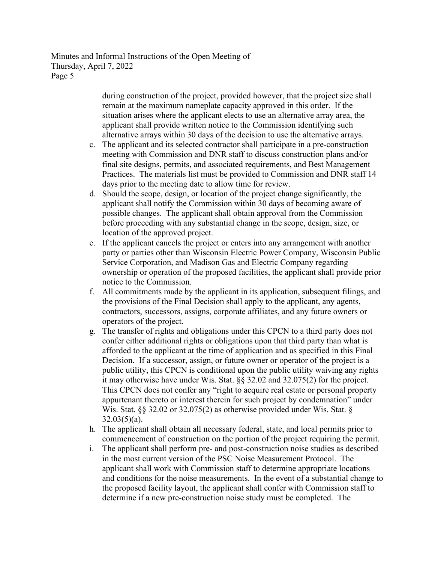> during construction of the project, provided however, that the project size shall remain at the maximum nameplate capacity approved in this order. If the situation arises where the applicant elects to use an alternative array area, the applicant shall provide written notice to the Commission identifying such alternative arrays within 30 days of the decision to use the alternative arrays.

- c. The applicant and its selected contractor shall participate in a pre-construction meeting with Commission and DNR staff to discuss construction plans and/or final site designs, permits, and associated requirements, and Best Management Practices. The materials list must be provided to Commission and DNR staff 14 days prior to the meeting date to allow time for review.
- d. Should the scope, design, or location of the project change significantly, the applicant shall notify the Commission within 30 days of becoming aware of possible changes. The applicant shall obtain approval from the Commission before proceeding with any substantial change in the scope, design, size, or location of the approved project.
- e. If the applicant cancels the project or enters into any arrangement with another party or parties other than Wisconsin Electric Power Company, Wisconsin Public Service Corporation, and Madison Gas and Electric Company regarding ownership or operation of the proposed facilities, the applicant shall provide prior notice to the Commission.
- f. All commitments made by the applicant in its application, subsequent filings, and the provisions of the Final Decision shall apply to the applicant, any agents, contractors, successors, assigns, corporate affiliates, and any future owners or operators of the project.
- g. The transfer of rights and obligations under this CPCN to a third party does not confer either additional rights or obligations upon that third party than what is afforded to the applicant at the time of application and as specified in this Final Decision. If a successor, assign, or future owner or operator of the project is a public utility, this CPCN is conditional upon the public utility waiving any rights it may otherwise have under Wis. Stat. §§ 32.02 and 32.075(2) for the project. This CPCN does not confer any "right to acquire real estate or personal property appurtenant thereto or interest therein for such project by condemnation" under Wis. Stat. §§ 32.02 or 32.075(2) as otherwise provided under Wis. Stat. §  $32.03(5)(a)$ .
- h. The applicant shall obtain all necessary federal, state, and local permits prior to commencement of construction on the portion of the project requiring the permit.
- i. The applicant shall perform pre- and post-construction noise studies as described in the most current version of the PSC Noise Measurement Protocol. The applicant shall work with Commission staff to determine appropriate locations and conditions for the noise measurements. In the event of a substantial change to the proposed facility layout, the applicant shall confer with Commission staff to determine if a new pre-construction noise study must be completed. The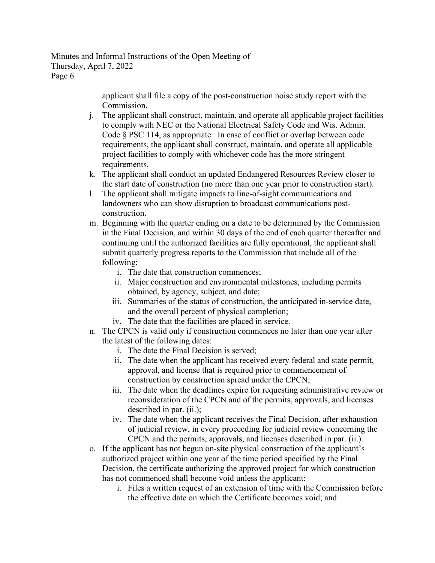> applicant shall file a copy of the post-construction noise study report with the Commission.

- j. The applicant shall construct, maintain, and operate all applicable project facilities to comply with NEC or the National Electrical Safety Code and Wis. Admin. Code § PSC 114, as appropriate. In case of conflict or overlap between code requirements, the applicant shall construct, maintain, and operate all applicable project facilities to comply with whichever code has the more stringent requirements.
- k. The applicant shall conduct an updated Endangered Resources Review closer to the start date of construction (no more than one year prior to construction start).
- l. The applicant shall mitigate impacts to line-of-sight communications and landowners who can show disruption to broadcast communications postconstruction.
- m. Beginning with the quarter ending on a date to be determined by the Commission in the Final Decision, and within 30 days of the end of each quarter thereafter and continuing until the authorized facilities are fully operational, the applicant shall submit quarterly progress reports to the Commission that include all of the following:
	- i. The date that construction commences;
	- ii. Major construction and environmental milestones, including permits obtained, by agency, subject, and date;
	- iii. Summaries of the status of construction, the anticipated in-service date, and the overall percent of physical completion;
	- iv. The date that the facilities are placed in service.
- n. The CPCN is valid only if construction commences no later than one year after the latest of the following dates:
	- i. The date the Final Decision is served;
	- ii. The date when the applicant has received every federal and state permit, approval, and license that is required prior to commencement of construction by construction spread under the CPCN;
	- iii. The date when the deadlines expire for requesting administrative review or reconsideration of the CPCN and of the permits, approvals, and licenses described in par. (ii.);
	- iv. The date when the applicant receives the Final Decision, after exhaustion of judicial review, in every proceeding for judicial review concerning the CPCN and the permits, approvals, and licenses described in par. (ii.).
- o. If the applicant has not begun on-site physical construction of the applicant's authorized project within one year of the time period specified by the Final Decision, the certificate authorizing the approved project for which construction has not commenced shall become void unless the applicant:
	- i. Files a written request of an extension of time with the Commission before the effective date on which the Certificate becomes void; and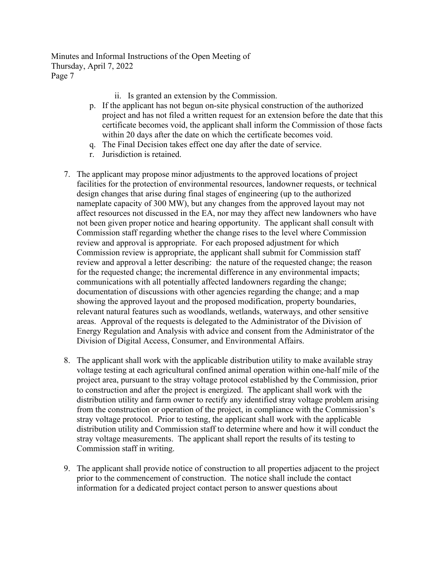- ii. Is granted an extension by the Commission.
- p. If the applicant has not begun on-site physical construction of the authorized project and has not filed a written request for an extension before the date that this certificate becomes void, the applicant shall inform the Commission of those facts within 20 days after the date on which the certificate becomes void.
- q. The Final Decision takes effect one day after the date of service.
- r. Jurisdiction is retained.
- 7. The applicant may propose minor adjustments to the approved locations of project facilities for the protection of environmental resources, landowner requests, or technical design changes that arise during final stages of engineering (up to the authorized nameplate capacity of 300 MW), but any changes from the approved layout may not affect resources not discussed in the EA, nor may they affect new landowners who have not been given proper notice and hearing opportunity. The applicant shall consult with Commission staff regarding whether the change rises to the level where Commission review and approval is appropriate. For each proposed adjustment for which Commission review is appropriate, the applicant shall submit for Commission staff review and approval a letter describing: the nature of the requested change; the reason for the requested change; the incremental difference in any environmental impacts; communications with all potentially affected landowners regarding the change; documentation of discussions with other agencies regarding the change; and a map showing the approved layout and the proposed modification, property boundaries, relevant natural features such as woodlands, wetlands, waterways, and other sensitive areas. Approval of the requests is delegated to the Administrator of the Division of Energy Regulation and Analysis with advice and consent from the Administrator of the Division of Digital Access, Consumer, and Environmental Affairs.
- 8. The applicant shall work with the applicable distribution utility to make available stray voltage testing at each agricultural confined animal operation within one-half mile of the project area, pursuant to the stray voltage protocol established by the Commission, prior to construction and after the project is energized. The applicant shall work with the distribution utility and farm owner to rectify any identified stray voltage problem arising from the construction or operation of the project, in compliance with the Commission's stray voltage protocol. Prior to testing, the applicant shall work with the applicable distribution utility and Commission staff to determine where and how it will conduct the stray voltage measurements. The applicant shall report the results of its testing to Commission staff in writing.
- 9. The applicant shall provide notice of construction to all properties adjacent to the project prior to the commencement of construction. The notice shall include the contact information for a dedicated project contact person to answer questions about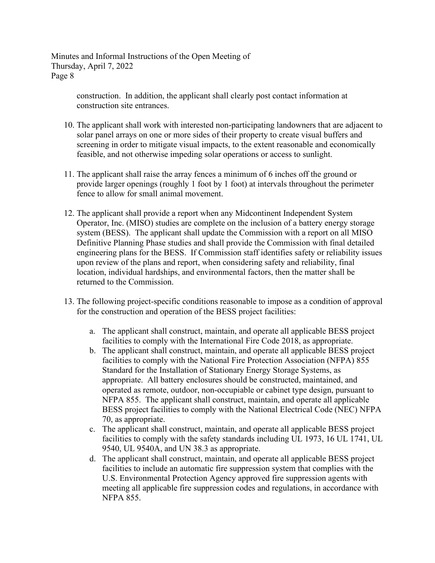> construction. In addition, the applicant shall clearly post contact information at construction site entrances.

- 10. The applicant shall work with interested non-participating landowners that are adjacent to solar panel arrays on one or more sides of their property to create visual buffers and screening in order to mitigate visual impacts, to the extent reasonable and economically feasible, and not otherwise impeding solar operations or access to sunlight.
- 11. The applicant shall raise the array fences a minimum of 6 inches off the ground or provide larger openings (roughly 1 foot by 1 foot) at intervals throughout the perimeter fence to allow for small animal movement.
- 12. The applicant shall provide a report when any Midcontinent Independent System Operator, Inc. (MISO) studies are complete on the inclusion of a battery energy storage system (BESS). The applicant shall update the Commission with a report on all MISO Definitive Planning Phase studies and shall provide the Commission with final detailed engineering plans for the BESS. If Commission staff identifies safety or reliability issues upon review of the plans and report, when considering safety and reliability, final location, individual hardships, and environmental factors, then the matter shall be returned to the Commission.
- 13. The following project-specific conditions reasonable to impose as a condition of approval for the construction and operation of the BESS project facilities:
	- a. The applicant shall construct, maintain, and operate all applicable BESS project facilities to comply with the International Fire Code 2018, as appropriate.
	- b. The applicant shall construct, maintain, and operate all applicable BESS project facilities to comply with the National Fire Protection Association (NFPA) 855 Standard for the Installation of Stationary Energy Storage Systems, as appropriate. All battery enclosures should be constructed, maintained, and operated as remote, outdoor, non-occupiable or cabinet type design, pursuant to NFPA 855. The applicant shall construct, maintain, and operate all applicable BESS project facilities to comply with the National Electrical Code (NEC) NFPA 70, as appropriate.
	- c. The applicant shall construct, maintain, and operate all applicable BESS project facilities to comply with the safety standards including UL 1973, 16 UL 1741, UL 9540, UL 9540A, and UN 38.3 as appropriate.
	- d. The applicant shall construct, maintain, and operate all applicable BESS project facilities to include an automatic fire suppression system that complies with the U.S. Environmental Protection Agency approved fire suppression agents with meeting all applicable fire suppression codes and regulations, in accordance with NFPA 855.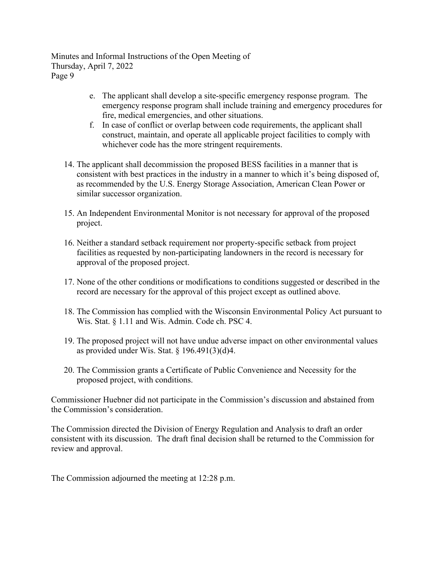- e. The applicant shall develop a site-specific emergency response program. The emergency response program shall include training and emergency procedures for fire, medical emergencies, and other situations.
- f. In case of conflict or overlap between code requirements, the applicant shall construct, maintain, and operate all applicable project facilities to comply with whichever code has the more stringent requirements.
- 14. The applicant shall decommission the proposed BESS facilities in a manner that is consistent with best practices in the industry in a manner to which it's being disposed of, as recommended by the U.S. Energy Storage Association, American Clean Power or similar successor organization.
- 15. An Independent Environmental Monitor is not necessary for approval of the proposed project.
- 16. Neither a standard setback requirement nor property-specific setback from project facilities as requested by non-participating landowners in the record is necessary for approval of the proposed project.
- 17. None of the other conditions or modifications to conditions suggested or described in the record are necessary for the approval of this project except as outlined above.
- 18. The Commission has complied with the Wisconsin Environmental Policy Act pursuant to Wis. Stat. § 1.11 and Wis. Admin. Code ch. PSC 4.
- 19. The proposed project will not have undue adverse impact on other environmental values as provided under Wis. Stat.  $\S$  196.491(3)(d)4.
- 20. The Commission grants a Certificate of Public Convenience and Necessity for the proposed project, with conditions.

Commissioner Huebner did not participate in the Commission's discussion and abstained from the Commission's consideration.

The Commission directed the Division of Energy Regulation and Analysis to draft an order consistent with its discussion. The draft final decision shall be returned to the Commission for review and approval.

The Commission adjourned the meeting at 12:28 p.m.